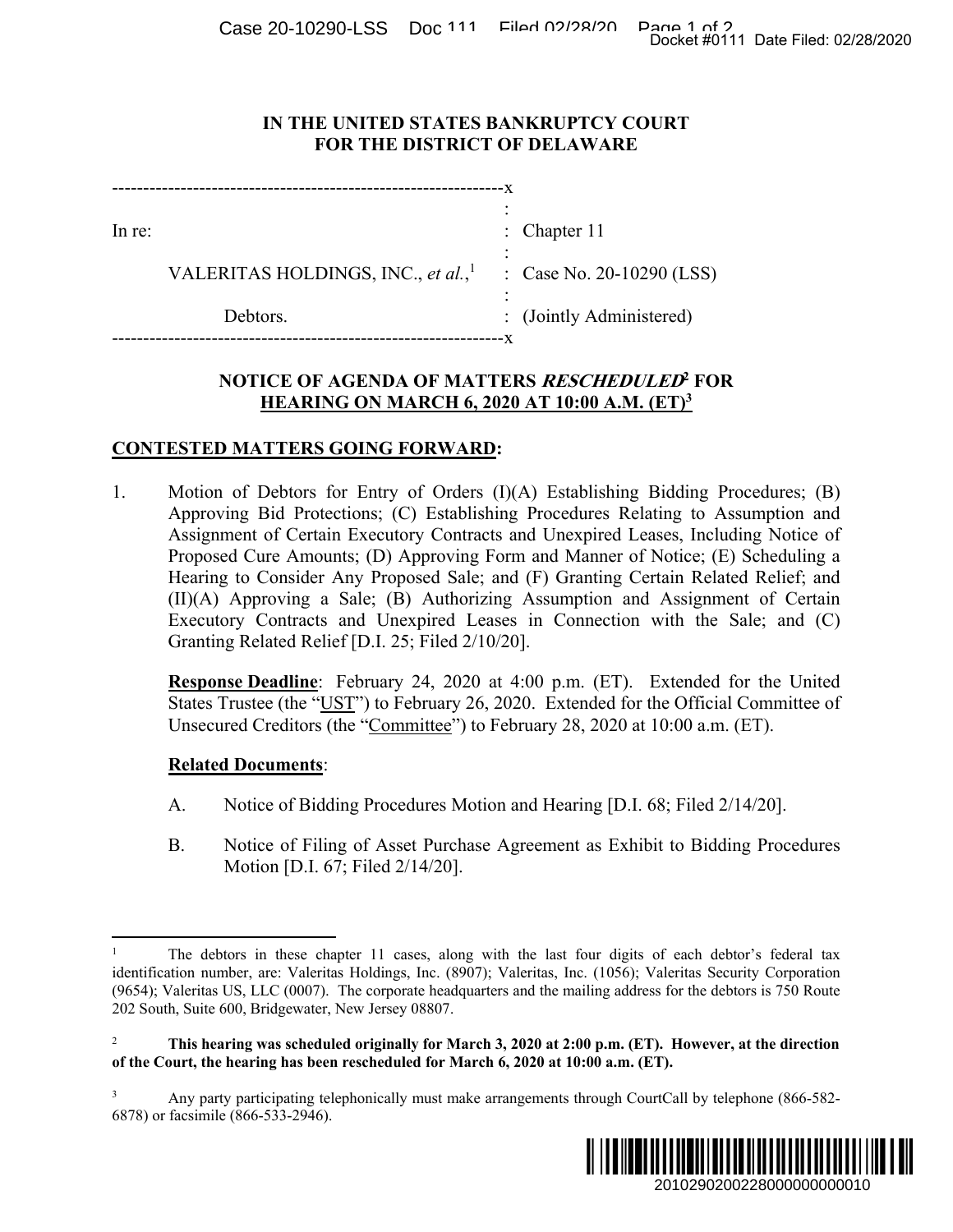Case 20-10290-LSS Doc 111 Filed 02/28/2010 Docket #0111 Date Filed: 02/28/2020

### **IN THE UNITED STATES BANKRUPTCY COURT FOR THE DISTRICT OF DELAWARE**

| : Chapter $11$            |
|---------------------------|
| : Case No. 20-10290 (LSS) |
| : (Jointly Administered)  |
|                           |

# **NOTICE OF AGENDA OF MATTERS RESCHEDULED<sup>2</sup> FOR HEARING ON MARCH 6, 2020 AT 10:00 A.M. (ET)3**

## **CONTESTED MATTERS GOING FORWARD:**

1. Motion of Debtors for Entry of Orders (I)(A) Establishing Bidding Procedures; (B) Approving Bid Protections; (C) Establishing Procedures Relating to Assumption and Assignment of Certain Executory Contracts and Unexpired Leases, Including Notice of Proposed Cure Amounts; (D) Approving Form and Manner of Notice; (E) Scheduling a Hearing to Consider Any Proposed Sale; and (F) Granting Certain Related Relief; and (II)(A) Approving a Sale; (B) Authorizing Assumption and Assignment of Certain Executory Contracts and Unexpired Leases in Connection with the Sale; and (C) Granting Related Relief [D.I. 25; Filed 2/10/20]. Docket #0111 Date Filed: 02/28/2020<br>
2010 (LSS)<br>
2010 (LSS)<br>
2010 (LSS)<br>
2010 (LSS)<br>
2010 Assumption and<br>
2010 Assumption and<br>
2010 Assumption and<br>
2010 Assumption and<br>
2010 (Assumption of Certain<br>
2010 Assignment of Cert

**Response Deadline**: February 24, 2020 at 4:00 p.m. (ET). Extended for the United States Trustee (the "UST") to February 26, 2020. Extended for the Official Committee of Unsecured Creditors (the "Committee") to February 28, 2020 at 10:00 a.m. (ET).

### **Related Documents**:

- A. Notice of Bidding Procedures Motion and Hearing [D.I. 68; Filed 2/14/20].
- B. Notice of Filing of Asset Purchase Agreement as Exhibit to Bidding Procedures Motion [D.I. 67; Filed 2/14/20].

<sup>3</sup> Any party participating telephonically must make arrangements through CourtCall by telephone (866-582- 6878) or facsimile (866-533-2946).



 $\overline{a}$ 1 The debtors in these chapter 11 cases, along with the last four digits of each debtor's federal tax identification number, are: Valeritas Holdings, Inc. (8907); Valeritas, Inc. (1056); Valeritas Security Corporation (9654); Valeritas US, LLC (0007). The corporate headquarters and the mailing address for the debtors is 750 Route 202 South, Suite 600, Bridgewater, New Jersey 08807.

<sup>2</sup>  **This hearing was scheduled originally for March 3, 2020 at 2:00 p.m. (ET). However, at the direction of the Court, the hearing has been rescheduled for March 6, 2020 at 10:00 a.m. (ET).**